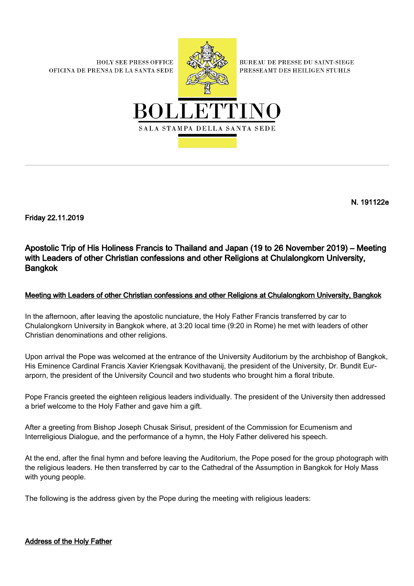**HOLY SEE PRESS OFFICE** OFICINA DE PRENSA DE LA SANTA SEDE



**BUREAU DE PRESSE DU SAINT-SIEGE** PRESSEAMT DES HEILIGEN STUHLS



N. 191122e

Friday 22.11.2019

Apostolic Trip of His Holiness Francis to Thailand and Japan (19 to 26 November 2019) – Meeting with Leaders of other Christian confessions and other Religions at Chulalongkorn University, Bangkok

## Meeting with Leaders of other Christian confessions and other Religions at Chulalongkorn University, Bangkok

In the afternoon, after leaving the apostolic nunciature, the Holy Father Francis transferred by car to Chulalongkorn University in Bangkok where, at 3:20 local time (9:20 in Rome) he met with leaders of other Christian denominations and other religions.

Upon arrival the Pope was welcomed at the entrance of the University Auditorium by the archbishop of Bangkok, His Eminence Cardinal Francis Xavier Kriengsak Kovithavanij, the president of the University, Dr. Bundit Eurarporn, the president of the University Council and two students who brought him a floral tribute.

Pope Francis greeted the eighteen religious leaders individually. The president of the University then addressed a brief welcome to the Holy Father and gave him a gift.

After a greeting from Bishop Joseph Chusak Sirisut, president of the Commission for Ecumenism and Interreligious Dialogue, and the performance of a hymn, the Holy Father delivered his speech.

At the end, after the final hymn and before leaving the Auditorium, the Pope posed for the group photograph with the religious leaders. He then transferred by car to the Cathedral of the Assumption in Bangkok for Holy Mass with young people.

The following is the address given by the Pope during the meeting with religious leaders:

Address of the Holy Father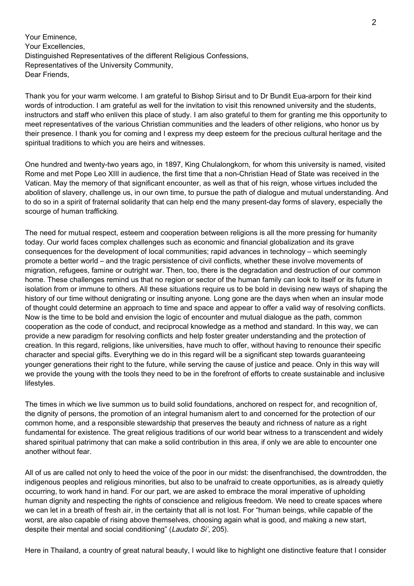Your Eminence, Your Excellencies, Distinguished Representatives of the different Religious Confessions, Representatives of the University Community, Dear Friends,

Thank you for your warm welcome. I am grateful to Bishop Sirisut and to Dr Bundit Eua-arporn for their kind words of introduction. I am grateful as well for the invitation to visit this renowned university and the students, instructors and staff who enliven this place of study. I am also grateful to them for granting me this opportunity to meet representatives of the various Christian communities and the leaders of other religions, who honor us by their presence. I thank you for coming and I express my deep esteem for the precious cultural heritage and the spiritual traditions to which you are heirs and witnesses.

One hundred and twenty-two years ago, in 1897, King Chulalongkorn, for whom this university is named, visited Rome and met Pope Leo XIII in audience, the first time that a non-Christian Head of State was received in the Vatican. May the memory of that significant encounter, as well as that of his reign, whose virtues included the abolition of slavery, challenge us, in our own time, to pursue the path of dialogue and mutual understanding. And to do so in a spirit of fraternal solidarity that can help end the many present-day forms of slavery, especially the scourge of human trafficking.

The need for mutual respect, esteem and cooperation between religions is all the more pressing for humanity today. Our world faces complex challenges such as economic and financial globalization and its grave consequences for the development of local communities; rapid advances in technology – which seemingly promote a better world – and the tragic persistence of civil conflicts, whether these involve movements of migration, refugees, famine or outright war. Then, too, there is the degradation and destruction of our common home. These challenges remind us that no region or sector of the human family can look to itself or its future in isolation from or immune to others. All these situations require us to be bold in devising new ways of shaping the history of our time without denigrating or insulting anyone. Long gone are the days when when an insular mode of thought could determine an approach to time and space and appear to offer a valid way of resolving conflicts. Now is the time to be bold and envision the logic of encounter and mutual dialogue as the path, common cooperation as the code of conduct, and reciprocal knowledge as a method and standard. In this way, we can provide a new paradigm for resolving conflicts and help foster greater understanding and the protection of creation. In this regard, religions, like universities, have much to offer, without having to renounce their specific character and special gifts. Everything we do in this regard will be a significant step towards guaranteeing younger generations their right to the future, while serving the cause of justice and peace. Only in this way will we provide the young with the tools they need to be in the forefront of efforts to create sustainable and inclusive lifestyles.

The times in which we live summon us to build solid foundations, anchored on respect for, and recognition of, the dignity of persons, the promotion of an integral humanism alert to and concerned for the protection of our common home, and a responsible stewardship that preserves the beauty and richness of nature as a right fundamental for existence. The great religious traditions of our world bear witness to a transcendent and widely shared spiritual patrimony that can make a solid contribution in this area, if only we are able to encounter one another without fear.

All of us are called not only to heed the voice of the poor in our midst: the disenfranchised, the downtrodden, the indigenous peoples and religious minorities, but also to be unafraid to create opportunities, as is already quietly occurring, to work hand in hand. For our part, we are asked to embrace the moral imperative of upholding human dignity and respecting the rights of conscience and religious freedom. We need to create spaces where we can let in a breath of fresh air, in the certainty that all is not lost. For "human beings, while capable of the worst, are also capable of rising above themselves, choosing again what is good, and making a new start, despite their mental and social conditioning" (Laudato Si', 205).

Here in Thailand, a country of great natural beauty, I would like to highlight one distinctive feature that I consider